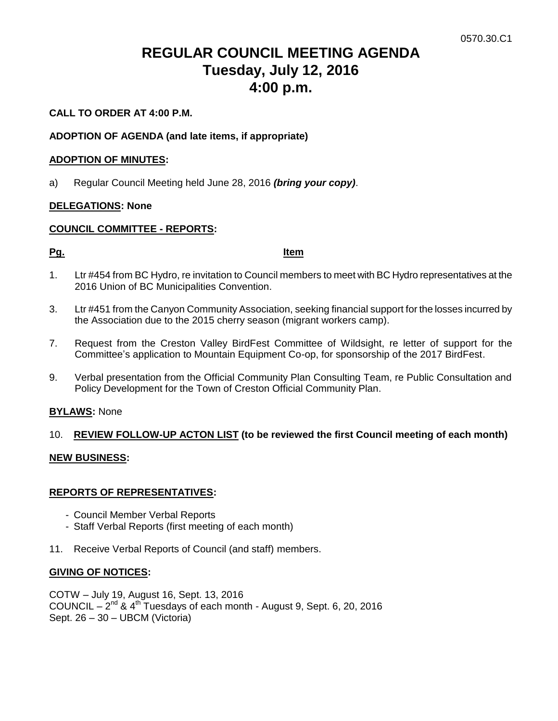# **REGULAR COUNCIL MEETING AGENDA Tuesday, July 12, 2016 4:00 p.m.**

# **CALL TO ORDER AT 4:00 P.M.**

# **ADOPTION OF AGENDA (and late items, if appropriate)**

#### **ADOPTION OF MINUTES:**

a) Regular Council Meeting held June 28, 2016 *(bring your copy)*.

# **DELEGATIONS: None**

# **COUNCIL COMMITTEE - REPORTS:**

**Pg. Item**

- 1. Ltr #454 from BC Hydro, re invitation to Council members to meet with BC Hydro representatives at the 2016 Union of BC Municipalities Convention.
- 3. Ltr #451 from the Canyon Community Association, seeking financial support for the losses incurred by the Association due to the 2015 cherry season (migrant workers camp).
- 7. Request from the Creston Valley BirdFest Committee of Wildsight, re letter of support for the Committee's application to Mountain Equipment Co-op, for sponsorship of the 2017 BirdFest.
- 9. Verbal presentation from the Official Community Plan Consulting Team, re Public Consultation and Policy Development for the Town of Creston Official Community Plan.

#### **BYLAWS:** None

# 10. **REVIEW FOLLOW-UP ACTON LIST (to be reviewed the first Council meeting of each month)**

#### **NEW BUSINESS:**

#### **REPORTS OF REPRESENTATIVES:**

- Council Member Verbal Reports
- Staff Verbal Reports (first meeting of each month)
- 11. Receive Verbal Reports of Council (and staff) members.

#### **GIVING OF NOTICES:**

COTW – July 19, August 16, Sept. 13, 2016 COUNCIL  $-2^{nd}$  & 4<sup>th</sup> Tuesdays of each month - August 9, Sept. 6, 20, 2016 Sept. 26 – 30 – UBCM (Victoria)